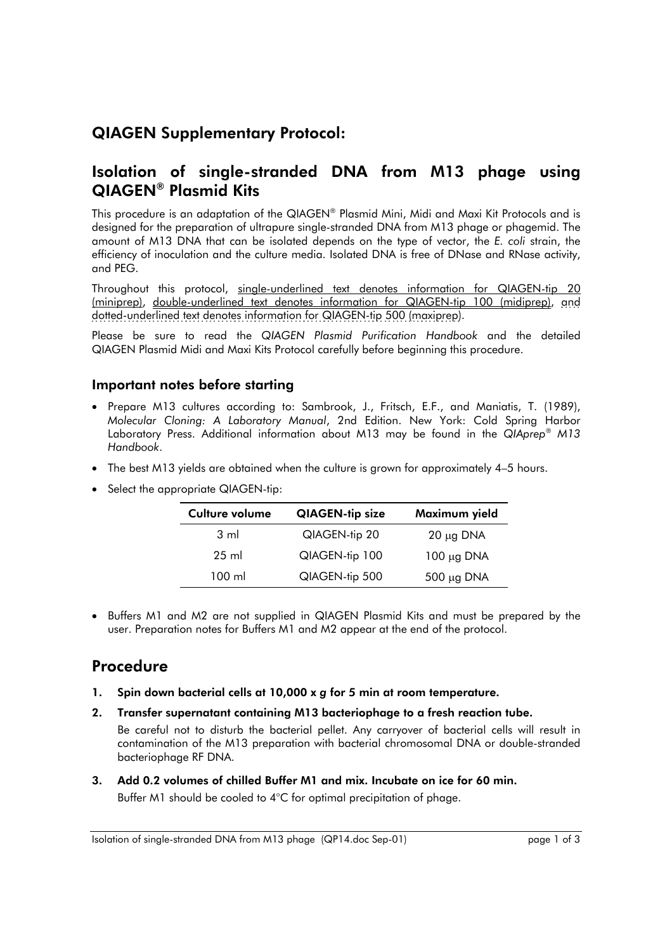# QIAGEN Supplementary Protocol:

## Isolation of single-stranded DNA from M13 phage using QIAGEN® Plasmid Kits

This procedure is an adaptation of the QIAGEN® Plasmid Mini, Midi and Maxi Kit Protocols and is designed for the preparation of ultrapure single-stranded DNA from M13 phage or phagemid. The amount of M13 DNA that can be isolated depends on the type of vector, the *E. coli* strain, the efficiency of inoculation and the culture media. Isolated DNA is free of DNase and RNase activity, and PEG.

Throughout this protocol, single-underlined text denotes information for QIAGEN-tip 20 (miniprep), double-underlined text denotes information for QIAGEN-tip 100 (midiprep), and dotted-underlined text denotes information for QIAGEN-tip 500 (maxiprep).

Please be sure to read the *QIAGEN Plasmid Purification Handbook* and the detailed QIAGEN Plasmid Midi and Maxi Kits Protocol carefully before beginning this procedure.

### Important notes before starting

- Prepare M13 cultures according to: Sambrook, J., Fritsch, E.F., and Maniatis, T. (1989), *Molecular Cloning: A Laboratory Manual*, 2nd Edition. New York: Cold Spring Harbor Laboratory Press. Additional information about M13 may be found in the *QIAprep*® *M13 Handbook*.
- The best M13 yields are obtained when the culture is grown for approximately 4–5 hours.
- Select the appropriate QIAGEN-tip:

| Culture volume | <b>QIAGEN-tip size</b> | Maximum yield   |
|----------------|------------------------|-----------------|
| $3 \text{ ml}$ | QIAGEN-tip 20          | $20 \mu g$ DNA  |
| 25 ml          | QIAGEN-tip 100         | $100 \mu g$ DNA |
| 100 ml         | QIAGEN-tip 500         | $500 \mu g$ DNA |

• Buffers M1 and M2 are not supplied in QIAGEN Plasmid Kits and must be prepared by the user. Preparation notes for Buffers M1 and M2 appear at the end of the protocol.

## Procedure

- 1. Spin down bacterial cells at 10,000 x *g* for 5 min at room temperature.
- 2. Transfer supernatant containing M13 bacteriophage to a fresh reaction tube. Be careful not to disturb the bacterial pellet. Any carryover of bacterial cells will result in contamination of the M13 preparation with bacterial chromosomal DNA or double-stranded bacteriophage RF DNA.
- 3. Add 0.2 volumes of chilled Buffer M1 and mix. Incubate on ice for 60 min. Buffer M1 should be cooled to 4°C for optimal precipitation of phage.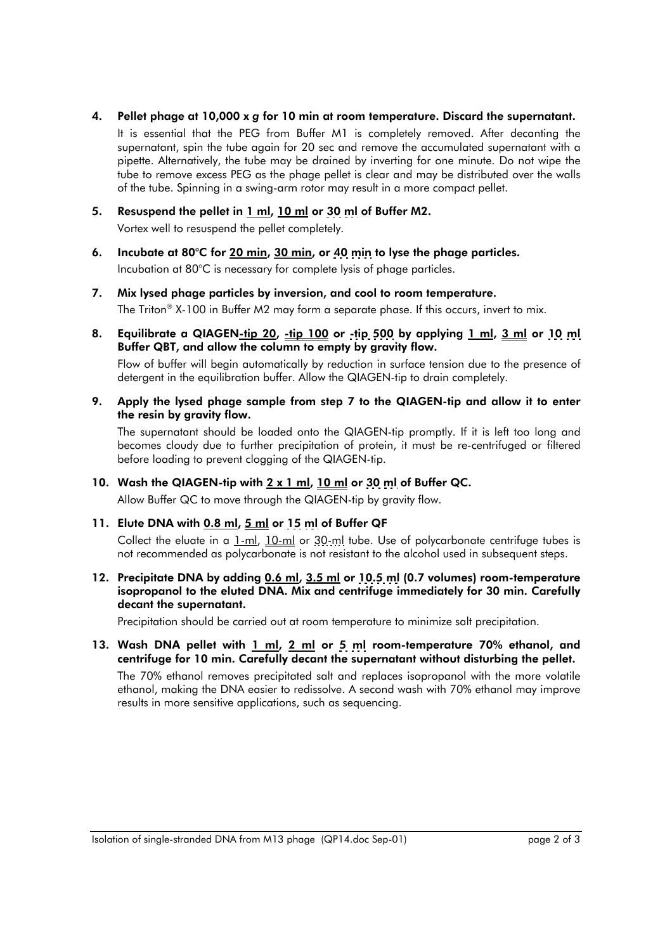4. Pellet phage at 10,000 x *g* for 10 min at room temperature. Discard the supernatant.

 It is essential that the PEG from Buffer M1 is completely removed. After decanting the supernatant, spin the tube again for 20 sec and remove the accumulated supernatant with a pipette. Alternatively, the tube may be drained by inverting for one minute. Do not wipe the tube to remove excess PEG as the phage pellet is clear and may be distributed over the walls of the tube. Spinning in a swing-arm rotor may result in a more compact pellet.

5. Resuspend the pellet in 1 ml, 10 ml or 30 ml of Buffer M2.

Vortex well to resuspend the pellet completely.

- 6. Incubate at 80°C for 20 min, 30 min, or 40 min to lyse the phage particles. Incubation at 80°C is necessary for complete lysis of phage particles.
- 7. Mix lysed phage particles by inversion, and cool to room temperature. The Triton® X-100 in Buffer M2 may form a separate phase. If this occurs, invert to mix.
- 8. Equilibrate a QIAGEN-tip 20, -tip 100 or -tip 500 by applying 1 ml, 3 ml or 10 ml Buffer QBT, and allow the column to empty by gravity flow.

 Flow of buffer will begin automatically by reduction in surface tension due to the presence of detergent in the equilibration buffer. Allow the QIAGEN-tip to drain completely.

9. Apply the lysed phage sample from step 7 to the QIAGEN-tip and allow it to enter the resin by gravity flow.

 The supernatant should be loaded onto the QIAGEN-tip promptly. If it is left too long and becomes cloudy due to further precipitation of protein, it must be re-centrifuged or filtered before loading to prevent clogging of the QIAGEN-tip.

### 10. Wash the QIAGEN-tip with  $2 \times 1$  ml, 10 ml or 30 ml of Buffer QC.

Allow Buffer QC to move through the QIAGEN-tip by gravity flow.

### 11. Elute DNA with 0.8 ml, 5 ml or 15 ml of Buffer QF

Collect the eluate in a 1-ml, 10-ml or 30-ml tube. Use of polycarbonate centrifuge tubes is not recommended as polycarbonate is not resistant to the alcohol used in subsequent steps.

#### 12. Precipitate DNA by adding 0.6 ml, 3.5 ml or 10.5 ml (0.7 volumes) room-temperature isopropanol to the eluted DNA. Mix and centrifuge immediately for 30 min. Carefully decant the supernatant.

Precipitation should be carried out at room temperature to minimize salt precipitation.

13. Wash DNA pellet with  $1 \text{ ml}$ ,  $2 \text{ ml}$  or 5 ml room-temperature 70% ethanol, and centrifuge for 10 min. Carefully decant the supernatant without disturbing the pellet.

 The 70% ethanol removes precipitated salt and replaces isopropanol with the more volatile ethanol, making the DNA easier to redissolve. A second wash with 70% ethanol may improve results in more sensitive applications, such as sequencing.